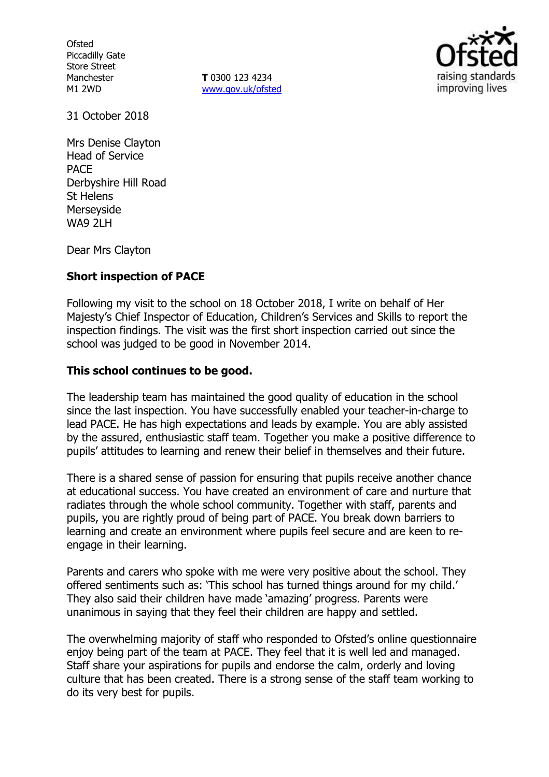**Ofsted** Piccadilly Gate Store Street Manchester M1 2WD

**T** 0300 123 4234 www.gov.uk/ofsted



31 October 2018

Mrs Denise Clayton Head of Service PACE Derbyshire Hill Road St Helens Merseyside WA9 2LH

Dear Mrs Clayton

### **Short inspection of PACE**

Following my visit to the school on 18 October 2018, I write on behalf of Her Majesty's Chief Inspector of Education, Children's Services and Skills to report the inspection findings. The visit was the first short inspection carried out since the school was judged to be good in November 2014.

### **This school continues to be good.**

The leadership team has maintained the good quality of education in the school since the last inspection. You have successfully enabled your teacher-in-charge to lead PACE. He has high expectations and leads by example. You are ably assisted by the assured, enthusiastic staff team. Together you make a positive difference to pupils' attitudes to learning and renew their belief in themselves and their future.

There is a shared sense of passion for ensuring that pupils receive another chance at educational success. You have created an environment of care and nurture that radiates through the whole school community. Together with staff, parents and pupils, you are rightly proud of being part of PACE. You break down barriers to learning and create an environment where pupils feel secure and are keen to reengage in their learning.

Parents and carers who spoke with me were very positive about the school. They offered sentiments such as: 'This school has turned things around for my child.' They also said their children have made 'amazing' progress. Parents were unanimous in saying that they feel their children are happy and settled.

The overwhelming majority of staff who responded to Ofsted's online questionnaire enjoy being part of the team at PACE. They feel that it is well led and managed. Staff share your aspirations for pupils and endorse the calm, orderly and loving culture that has been created. There is a strong sense of the staff team working to do its very best for pupils.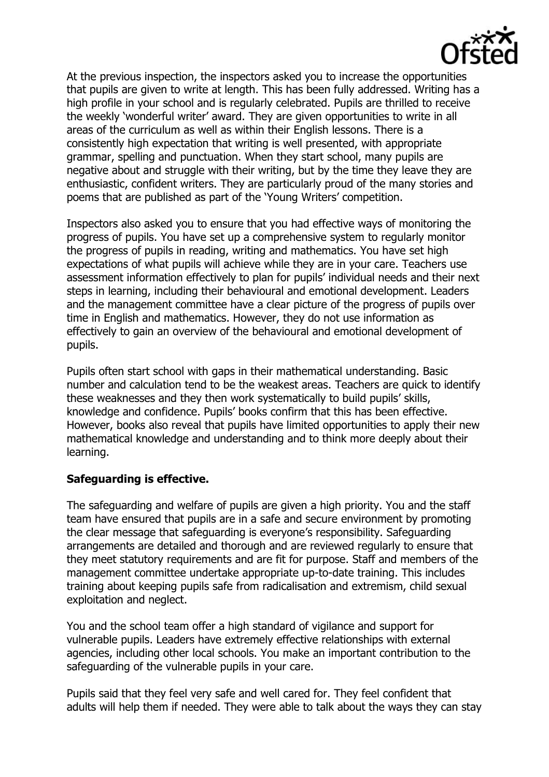

At the previous inspection, the inspectors asked you to increase the opportunities that pupils are given to write at length. This has been fully addressed. Writing has a high profile in your school and is regularly celebrated. Pupils are thrilled to receive the weekly 'wonderful writer' award. They are given opportunities to write in all areas of the curriculum as well as within their English lessons. There is a consistently high expectation that writing is well presented, with appropriate grammar, spelling and punctuation. When they start school, many pupils are negative about and struggle with their writing, but by the time they leave they are enthusiastic, confident writers. They are particularly proud of the many stories and poems that are published as part of the 'Young Writers' competition.

Inspectors also asked you to ensure that you had effective ways of monitoring the progress of pupils. You have set up a comprehensive system to regularly monitor the progress of pupils in reading, writing and mathematics. You have set high expectations of what pupils will achieve while they are in your care. Teachers use assessment information effectively to plan for pupils' individual needs and their next steps in learning, including their behavioural and emotional development. Leaders and the management committee have a clear picture of the progress of pupils over time in English and mathematics. However, they do not use information as effectively to gain an overview of the behavioural and emotional development of pupils.

Pupils often start school with gaps in their mathematical understanding. Basic number and calculation tend to be the weakest areas. Teachers are quick to identify these weaknesses and they then work systematically to build pupils' skills, knowledge and confidence. Pupils' books confirm that this has been effective. However, books also reveal that pupils have limited opportunities to apply their new mathematical knowledge and understanding and to think more deeply about their learning.

### **Safeguarding is effective.**

The safeguarding and welfare of pupils are given a high priority. You and the staff team have ensured that pupils are in a safe and secure environment by promoting the clear message that safeguarding is everyone's responsibility. Safeguarding arrangements are detailed and thorough and are reviewed regularly to ensure that they meet statutory requirements and are fit for purpose. Staff and members of the management committee undertake appropriate up-to-date training. This includes training about keeping pupils safe from radicalisation and extremism, child sexual exploitation and neglect.

You and the school team offer a high standard of vigilance and support for vulnerable pupils. Leaders have extremely effective relationships with external agencies, including other local schools. You make an important contribution to the safeguarding of the vulnerable pupils in your care.

Pupils said that they feel very safe and well cared for. They feel confident that adults will help them if needed. They were able to talk about the ways they can stay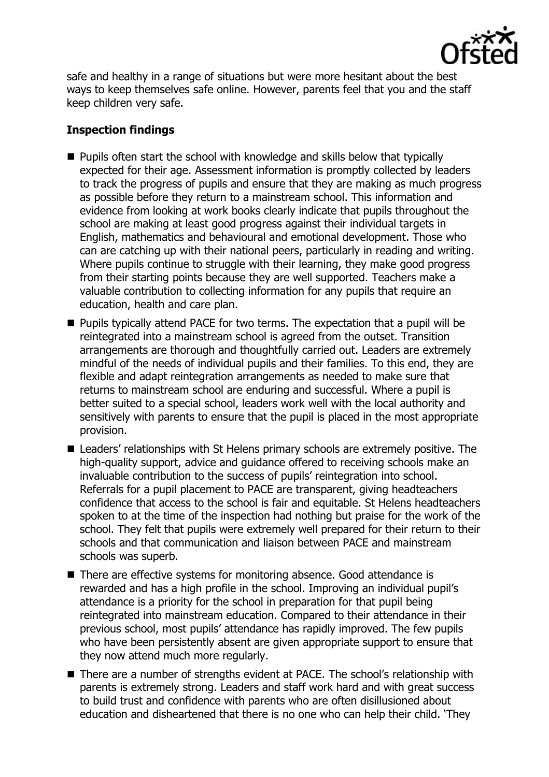

safe and healthy in a range of situations but were more hesitant about the best ways to keep themselves safe online. However, parents feel that you and the staff keep children very safe.

## **Inspection findings**

- $\blacksquare$  Pupils often start the school with knowledge and skills below that typically expected for their age. Assessment information is promptly collected by leaders to track the progress of pupils and ensure that they are making as much progress as possible before they return to a mainstream school. This information and evidence from looking at work books clearly indicate that pupils throughout the school are making at least good progress against their individual targets in English, mathematics and behavioural and emotional development. Those who can are catching up with their national peers, particularly in reading and writing. Where pupils continue to struggle with their learning, they make good progress from their starting points because they are well supported. Teachers make a valuable contribution to collecting information for any pupils that require an education, health and care plan.
- $\blacksquare$  Pupils typically attend PACE for two terms. The expectation that a pupil will be reintegrated into a mainstream school is agreed from the outset. Transition arrangements are thorough and thoughtfully carried out. Leaders are extremely mindful of the needs of individual pupils and their families. To this end, they are flexible and adapt reintegration arrangements as needed to make sure that returns to mainstream school are enduring and successful. Where a pupil is better suited to a special school, leaders work well with the local authority and sensitively with parents to ensure that the pupil is placed in the most appropriate provision.
- Leaders' relationships with St Helens primary schools are extremely positive. The high-quality support, advice and guidance offered to receiving schools make an invaluable contribution to the success of pupils' reintegration into school. Referrals for a pupil placement to PACE are transparent, giving headteachers confidence that access to the school is fair and equitable. St Helens headteachers spoken to at the time of the inspection had nothing but praise for the work of the school. They felt that pupils were extremely well prepared for their return to their schools and that communication and liaison between PACE and mainstream schools was superb.
- There are effective systems for monitoring absence. Good attendance is rewarded and has a high profile in the school. Improving an individual pupil's attendance is a priority for the school in preparation for that pupil being reintegrated into mainstream education. Compared to their attendance in their previous school, most pupils' attendance has rapidly improved. The few pupils who have been persistently absent are given appropriate support to ensure that they now attend much more regularly.
- There are a number of strengths evident at PACE. The school's relationship with parents is extremely strong. Leaders and staff work hard and with great success to build trust and confidence with parents who are often disillusioned about education and disheartened that there is no one who can help their child. 'They